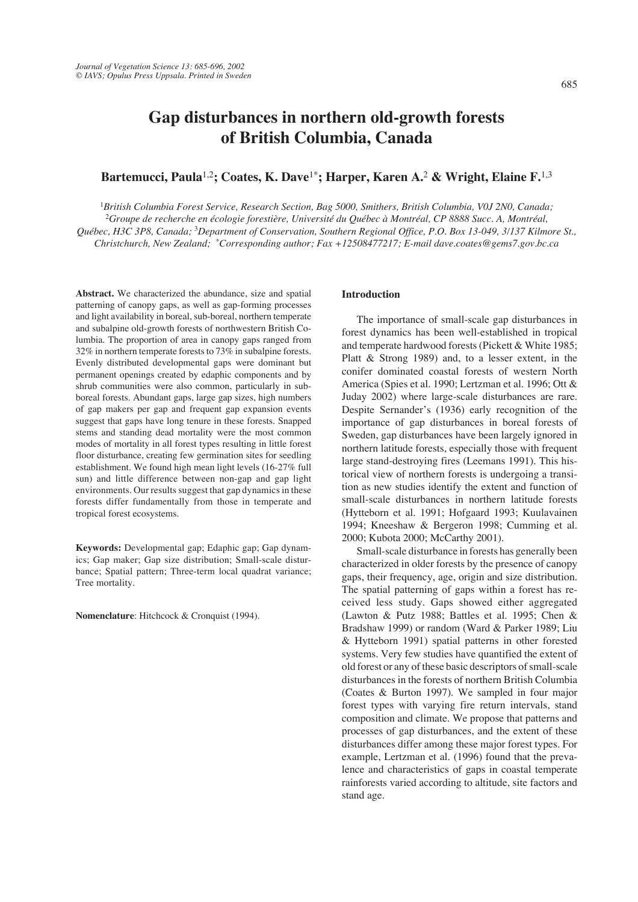# **Gap disturbances in northern old-growth forests of British Columbia, Canada**

# **Bartemucci, Paula**1,2**; Coates, K. Dave**1\***; Harper, Karen A.**<sup>2</sup> **& Wright, Elaine F.**1,3

<sup>1</sup>*British Columbia Forest Service, Research Section, Bag 5000, Smithers, British Columbia, V0J 2N0, Canada;* <sup>2</sup>*Groupe de recherche en écologie forestière, Université du Québec à Montréal, CP 8888 Succ. A, Montréal,*

*Québec, H3C 3P8, Canada;* 3*Department of Conservation, Southern Regional Office, P.O. Box 13-049, 3/137 Kilmore St., Christchurch, New Zealand; \*Corresponding author; Fax +12508477217; E-mail dave.coates@gems7.gov.bc.ca*

**Abstract.** We characterized the abundance, size and spatial patterning of canopy gaps, as well as gap-forming processes and light availability in boreal, sub-boreal, northern temperate and subalpine old-growth forests of northwestern British Columbia. The proportion of area in canopy gaps ranged from 32% in northern temperate forests to 73% in subalpine forests. Evenly distributed developmental gaps were dominant but permanent openings created by edaphic components and by shrub communities were also common, particularly in subboreal forests. Abundant gaps, large gap sizes, high numbers of gap makers per gap and frequent gap expansion events suggest that gaps have long tenure in these forests. Snapped stems and standing dead mortality were the most common modes of mortality in all forest types resulting in little forest floor disturbance, creating few germination sites for seedling establishment. We found high mean light levels (16-27% full sun) and little difference between non-gap and gap light environments. Our results suggest that gap dynamics in these forests differ fundamentally from those in temperate and tropical forest ecosystems.

**Keywords:** Developmental gap; Edaphic gap; Gap dynamics; Gap maker; Gap size distribution; Small-scale disturbance; Spatial pattern; Three-term local quadrat variance; Tree mortality.

Nomenclature: Hitchcock & Cronquist (1994).

#### **Introduction**

The importance of small-scale gap disturbances in forest dynamics has been well-established in tropical and temperate hardwood forests (Pickett & White 1985; Platt & Strong 1989) and, to a lesser extent, in the conifer dominated coastal forests of western North America (Spies et al. 1990; Lertzman et al. 1996; Ott & Juday 2002) where large-scale disturbances are rare. Despite Sernander's (1936) early recognition of the importance of gap disturbances in boreal forests of Sweden, gap disturbances have been largely ignored in northern latitude forests, especially those with frequent large stand-destroying fires (Leemans 1991). This historical view of northern forests is undergoing a transition as new studies identify the extent and function of small-scale disturbances in northern latitude forests (Hytteborn et al. 1991; Hofgaard 1993; Kuulavainen 1994; Kneeshaw & Bergeron 1998; Cumming et al. 2000; Kubota 2000; McCarthy 2001).

Small-scale disturbance in forests has generally been characterized in older forests by the presence of canopy gaps, their frequency, age, origin and size distribution. The spatial patterning of gaps within a forest has received less study. Gaps showed either aggregated (Lawton & Putz 1988; Battles et al. 1995; Chen & Bradshaw 1999) or random (Ward & Parker 1989; Liu & Hytteborn 1991) spatial patterns in other forested systems. Very few studies have quantified the extent of old forest or any of these basic descriptors of small-scale disturbances in the forests of northern British Columbia (Coates & Burton 1997). We sampled in four major forest types with varying fire return intervals, stand composition and climate. We propose that patterns and processes of gap disturbances, and the extent of these disturbances differ among these major forest types. For example, Lertzman et al. (1996) found that the prevalence and characteristics of gaps in coastal temperate rainforests varied according to altitude, site factors and stand age.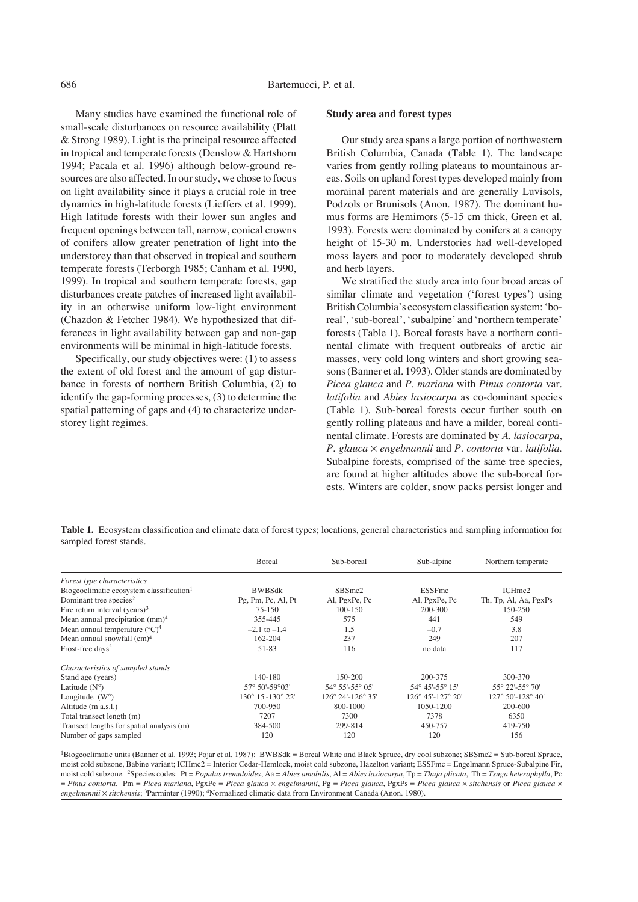Many studies have examined the functional role of small-scale disturbances on resource availability (Platt & Strong 1989). Light is the principal resource affected in tropical and temperate forests (Denslow & Hartshorn 1994; Pacala et al. 1996) although below-ground resources are also affected. In our study, we chose to focus on light availability since it plays a crucial role in tree dynamics in high-latitude forests (Lieffers et al. 1999). High latitude forests with their lower sun angles and frequent openings between tall, narrow, conical crowns of conifers allow greater penetration of light into the understorey than that observed in tropical and southern temperate forests (Terborgh 1985; Canham et al. 1990, 1999). In tropical and southern temperate forests, gap disturbances create patches of increased light availability in an otherwise uniform low-light environment (Chazdon & Fetcher 1984). We hypothesized that differences in light availability between gap and non-gap environments will be minimal in high-latitude forests.

Specifically, our study objectives were: (1) to assess the extent of old forest and the amount of gap disturbance in forests of northern British Columbia, (2) to identify the gap-forming processes, (3) to determine the spatial patterning of gaps and (4) to characterize understorey light regimes.

#### **Study area and forest types**

Our study area spans a large portion of northwestern British Columbia, Canada (Table 1). The landscape varies from gently rolling plateaus to mountainous areas. Soils on upland forest types developed mainly from morainal parent materials and are generally Luvisols, Podzols or Brunisols (Anon. 1987). The dominant humus forms are Hemimors (5-15 cm thick, Green et al. 1993). Forests were dominated by conifers at a canopy height of 15-30 m. Understories had well-developed moss layers and poor to moderately developed shrub and herb layers.

We stratified the study area into four broad areas of similar climate and vegetation ('forest types') using British Columbia's ecosystem classification system: 'boreal', 'sub-boreal', 'subalpine' and 'northern temperate' forests (Table 1). Boreal forests have a northern continental climate with frequent outbreaks of arctic air masses, very cold long winters and short growing seasons (Banner et al. 1993). Older stands are dominated by *Picea glauca* and *P. mariana* with *Pinus contorta* var. *latifolia* and *Abies lasiocarpa* as co-dominant species (Table 1). Sub-boreal forests occur further south on gently rolling plateaus and have a milder, boreal continental climate. Forests are dominated by *A. lasiocarpa*, *P. glauca* ¥ *engelmannii* and *P. contorta* var. *latifolia*. Subalpine forests, comprised of the same tree species, are found at higher altitudes above the sub-boreal forests. Winters are colder, snow packs persist longer and

**Table 1.** Ecosystem classification and climate data of forest types; locations, general characteristics and sampling information for sampled forest stands.

|                                                      | Boreal                             | Sub-boreal                         | Sub-alpine                         | Northern temperate    |  |
|------------------------------------------------------|------------------------------------|------------------------------------|------------------------------------|-----------------------|--|
| Forest type characteristics                          |                                    |                                    |                                    |                       |  |
| Biogeoclimatic ecosystem classification <sup>1</sup> | <b>BWBSdk</b>                      | SBSmc2                             | <b>ESSFmc</b>                      | ICHmc2                |  |
| Dominant tree species <sup>2</sup>                   | Pg, Pm, Pc, Al, Pt                 | Al, PgxPe, Pc                      | Al, PgxPe, Pc                      | Th, Tp, Al, Aa, PgxPs |  |
| Fire return interval (years) <sup>3</sup>            | 75-150                             | 100-150                            | 200-300                            | 150-250               |  |
| Mean annual precipitation $(mm)^4$                   | 355-445                            | 575                                | 441                                | 549                   |  |
| Mean annual temperature $({}^{\circ}C)^{4}$          | $-2.1$ to $-1.4$                   | 1.5                                | $-0.7$                             | 3.8                   |  |
| Mean annual snowfall $(cm)^4$                        | 162-204                            | 237                                | 249                                | 207                   |  |
| Frost-free days <sup>3</sup>                         | 51-83                              | 116                                | no data                            | 117                   |  |
| Characteristics of sampled stands                    |                                    |                                    |                                    |                       |  |
| Stand age (years)                                    | 140-180                            | 150-200                            | 200-375                            | 300-370               |  |
| Latitude $(N^{\circ})$                               | $57^{\circ}$ 50'-59 $^{\circ}$ 03' | $54^{\circ}$ 55'-55 $^{\circ}$ 05' | $54^{\circ}$ 45'-55 $^{\circ}$ 15' | 55° 22'-55° 70'       |  |
| Longitude $(W^{\circ})$                              | 130° 15'-130° 22'                  | 126° 24'-126° 35'                  | 126° 45'-127° 20'                  | 127° 50'-128° 40'     |  |
| Altitude (m a.s.l.)                                  | 700-950                            | 800-1000                           | 1050-1200                          | 200-600               |  |
| Total transect length (m)                            | 7207                               | 7300                               | 7378                               | 6350                  |  |
| Transect lengths for spatial analysis (m)            | 384-500                            | 299-814                            | 450-757                            | 419-750               |  |
| Number of gaps sampled                               | 120                                | 120                                | 120                                | 156                   |  |

<sup>1</sup>Biogeoclimatic units (Banner et al. 1993; Pojar et al. 1987): BWBSdk = Boreal White and Black Spruce, dry cool subzone; SBSmc2 = Sub-boreal Spruce, moist cold subzone, Babine variant; ICHmc2 = Interior Cedar-Hemlock, moist cold subzone, Hazelton variant; ESSFmc = Engelmann Spruce-Subalpine Fir, moist cold subzone. 2Species codes: Pt = *Populus tremuloides*, Aa = *Abies amabilis*, Al = *Abies lasiocarpa*, Tp = *Thuja plicata*, Th = *Tsuga heterophylla*, Pc = *Pinus contorta*, Pm = *Picea mariana*, PgxPe = *Picea glauca* ¥ *engelmannii*, Pg = *Picea glauca*, PgxPs = *Picea glauca* ¥ *sitchensis* or *Picea glauca* ¥ *engelmannii* ¥ *sitchensis*; 3Parminter (1990); 4Normalized climatic data from Environment Canada (Anon. 1980).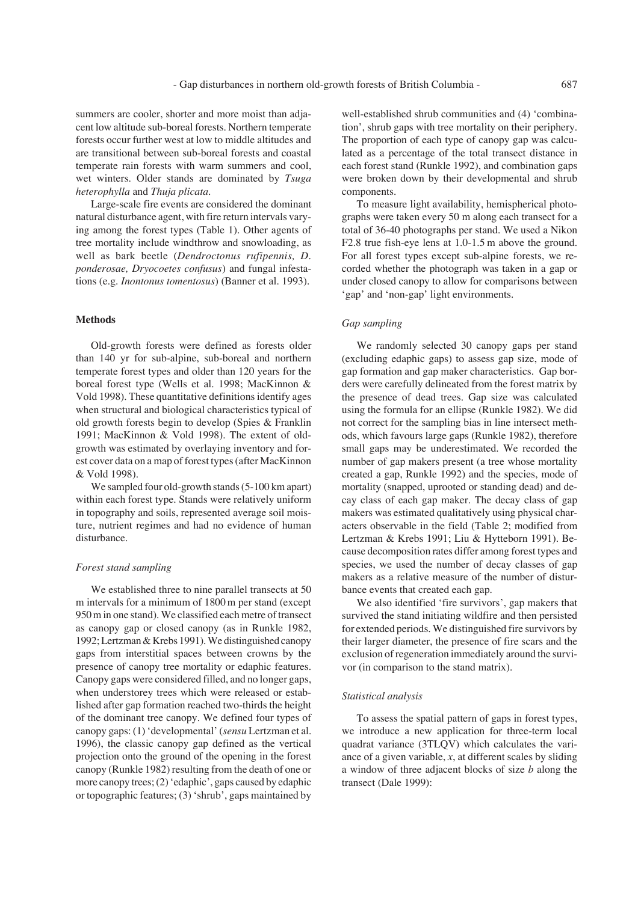summers are cooler, shorter and more moist than adjacent low altitude sub-boreal forests. Northern temperate forests occur further west at low to middle altitudes and are transitional between sub-boreal forests and coastal temperate rain forests with warm summers and cool, wet winters. Older stands are dominated by *Tsuga heterophylla* and *Thuja plicata*.

Large-scale fire events are considered the dominant natural disturbance agent, with fire return intervals varying among the forest types (Table 1). Other agents of tree mortality include windthrow and snowloading, as well as bark beetle (*Dendroctonus rufipennis, D. ponderosae, Dryocoetes confusus*) and fungal infestations (e.g. *Inontonus tomentosus*) (Banner et al. 1993).

#### **Methods**

Old-growth forests were defined as forests older than 140 yr for sub-alpine, sub-boreal and northern temperate forest types and older than 120 years for the boreal forest type (Wells et al. 1998; MacKinnon & Vold 1998). These quantitative definitions identify ages when structural and biological characteristics typical of old growth forests begin to develop (Spies & Franklin 1991; MacKinnon & Vold 1998). The extent of oldgrowth was estimated by overlaying inventory and forest cover data on a map of forest types (after MacKinnon & Vold 1998).

We sampled four old-growth stands (5-100 km apart) within each forest type. Stands were relatively uniform in topography and soils, represented average soil moisture, nutrient regimes and had no evidence of human disturbance.

#### *Forest stand sampling*

We established three to nine parallel transects at 50 m intervals for a minimum of 1800m per stand (except 950m in one stand). We classified each metre of transect as canopy gap or closed canopy (as in Runkle 1982, 1992; Lertzman & Krebs 1991). We distinguished canopy gaps from interstitial spaces between crowns by the presence of canopy tree mortality or edaphic features. Canopy gaps were considered filled, and no longer gaps, when understorey trees which were released or established after gap formation reached two-thirds the height of the dominant tree canopy. We defined four types of canopy gaps: (1) 'developmental' (*sensu* Lertzman et al. 1996), the classic canopy gap defined as the vertical projection onto the ground of the opening in the forest canopy (Runkle 1982) resulting from the death of one or more canopy trees; (2) 'edaphic', gaps caused by edaphic or topographic features; (3) 'shrub', gaps maintained by

well-established shrub communities and (4) 'combination', shrub gaps with tree mortality on their periphery. The proportion of each type of canopy gap was calculated as a percentage of the total transect distance in each forest stand (Runkle 1992), and combination gaps were broken down by their developmental and shrub components.

To measure light availability, hemispherical photographs were taken every 50 m along each transect for a total of 36-40 photographs per stand. We used a Nikon F2.8 true fish-eye lens at 1.0-1.5 m above the ground. For all forest types except sub-alpine forests, we recorded whether the photograph was taken in a gap or under closed canopy to allow for comparisons between 'gap' and 'non-gap' light environments.

# *Gap sampling*

We randomly selected 30 canopy gaps per stand (excluding edaphic gaps) to assess gap size, mode of gap formation and gap maker characteristics. Gap borders were carefully delineated from the forest matrix by the presence of dead trees. Gap size was calculated using the formula for an ellipse (Runkle 1982). We did not correct for the sampling bias in line intersect methods, which favours large gaps (Runkle 1982), therefore small gaps may be underestimated. We recorded the number of gap makers present (a tree whose mortality created a gap, Runkle 1992) and the species, mode of mortality (snapped, uprooted or standing dead) and decay class of each gap maker. The decay class of gap makers was estimated qualitatively using physical characters observable in the field (Table 2; modified from Lertzman & Krebs 1991; Liu & Hytteborn 1991). Because decomposition rates differ among forest types and species, we used the number of decay classes of gap makers as a relative measure of the number of disturbance events that created each gap.

We also identified 'fire survivors', gap makers that survived the stand initiating wildfire and then persisted for extended periods. We distinguished fire survivors by their larger diameter, the presence of fire scars and the exclusion of regeneration immediately around the survivor (in comparison to the stand matrix).

#### *Statistical analysis*

To assess the spatial pattern of gaps in forest types, we introduce a new application for three-term local quadrat variance (3TLQV) which calculates the variance of a given variable,  $x$ , at different scales by sliding a window of three adjacent blocks of size *b* along the transect (Dale 1999):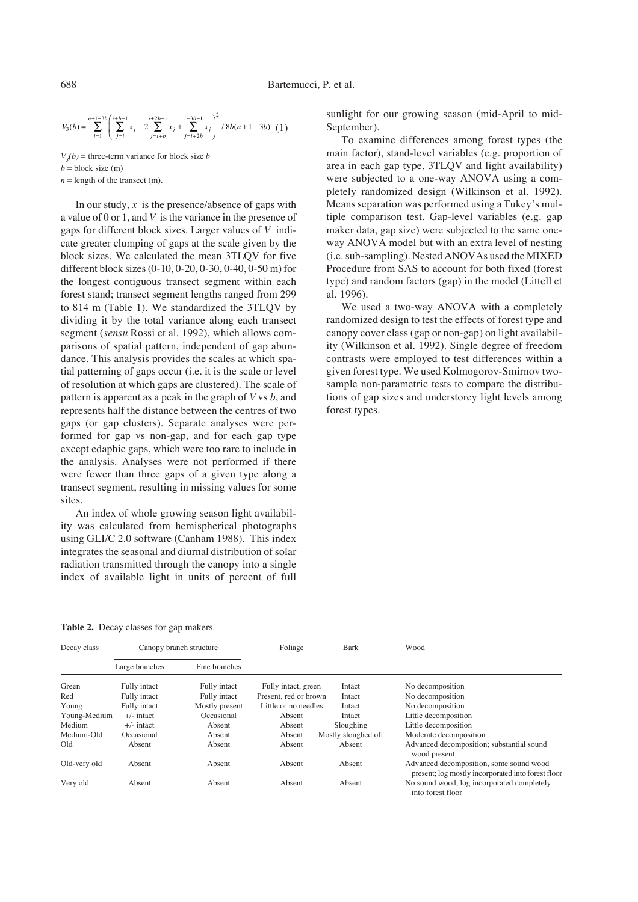$$
V_3(b) = \sum_{i=1}^{n+1-3b} \left( \sum_{j=i}^{i+b-1} x_j - 2 \sum_{j=i+b}^{i+2b-1} x_j + \sum_{j=i+2b}^{i+3b-1} x_j \right)^2 / 8b(n+1-3b) \tag{1}
$$

 $V_3(b)$  = three-term variance for block size *b*  $b = \text{block size (m)}$ 

 $n =$  length of the transect (m).

In our study,  $x$  is the presence/absence of gaps with a value of 0 or 1, and *V* is the variance in the presence of gaps for different block sizes. Larger values of *V* indicate greater clumping of gaps at the scale given by the block sizes. We calculated the mean 3TLQV for five different block sizes (0-10, 0-20, 0-30, 0-40, 0-50 m) for the longest contiguous transect segment within each forest stand; transect segment lengths ranged from 299 to 814 m (Table 1). We standardized the 3TLQV by dividing it by the total variance along each transect segment (*sensu* Rossi et al. 1992), which allows comparisons of spatial pattern, independent of gap abundance. This analysis provides the scales at which spatial patterning of gaps occur (i.e. it is the scale or level of resolution at which gaps are clustered). The scale of pattern is apparent as a peak in the graph of *V* vs *b*, and represents half the distance between the centres of two gaps (or gap clusters). Separate analyses were performed for gap vs non-gap, and for each gap type except edaphic gaps, which were too rare to include in the analysis. Analyses were not performed if there were fewer than three gaps of a given type along a transect segment, resulting in missing values for some sites.

An index of whole growing season light availability was calculated from hemispherical photographs using GLI/C 2.0 software (Canham 1988). This index integrates the seasonal and diurnal distribution of solar radiation transmitted through the canopy into a single index of available light in units of percent of full

sunlight for our growing season (mid-April to mid-September).

To examine differences among forest types (the main factor), stand-level variables (e.g. proportion of area in each gap type, 3TLQV and light availability) were subjected to a one-way ANOVA using a completely randomized design (Wilkinson et al. 1992). Means separation was performed using a Tukey's multiple comparison test. Gap-level variables (e.g. gap maker data, gap size) were subjected to the same oneway ANOVA model but with an extra level of nesting (i.e. sub-sampling). Nested ANOVAs used the MIXED Procedure from SAS to account for both fixed (forest type) and random factors (gap) in the model (Littell et al. 1996).

We used a two-way ANOVA with a completely randomized design to test the effects of forest type and canopy cover class (gap or non-gap) on light availability (Wilkinson et al. 1992). Single degree of freedom contrasts were employed to test differences within a given forest type. We used Kolmogorov-Smirnov twosample non-parametric tests to compare the distributions of gap sizes and understorey light levels among forest types.

**Table 2.** Decay classes for gap makers.

| Decay class  | Canopy branch structure |                | Foliage               | <b>Bark</b>         | Wood                                                                                          |
|--------------|-------------------------|----------------|-----------------------|---------------------|-----------------------------------------------------------------------------------------------|
|              | Large branches          | Fine branches  |                       |                     |                                                                                               |
| Green        | Fully intact            | Fully intact   | Fully intact, green   | Intact              | No decomposition                                                                              |
| Red          | Fully intact            | Fully intact   | Present, red or brown | Intact              | No decomposition                                                                              |
| Young        | Fully intact            | Mostly present | Little or no needles  | Intact              | No decomposition                                                                              |
| Young-Medium | $+/-$ intact            | Occasional     | Absent                | Intact              | Little decomposition                                                                          |
| Medium       | $+/-$ intact            | Absent         | Absent                | Sloughing           | Little decomposition                                                                          |
| Medium-Old   | Occasional              | Absent         | Absent                | Mostly sloughed off | Moderate decomposition                                                                        |
| Old          | Absent                  | Absent         | Absent                | Absent              | Advanced decomposition; substantial sound<br>wood present                                     |
| Old-very old | Absent                  | Absent         | Absent                | Absent              | Advanced decomposition, some sound wood<br>present; log mostly incorporated into forest floor |
| Very old     | Absent                  | Absent         | Absent                | Absent              | No sound wood, log incorporated completely<br>into forest floor                               |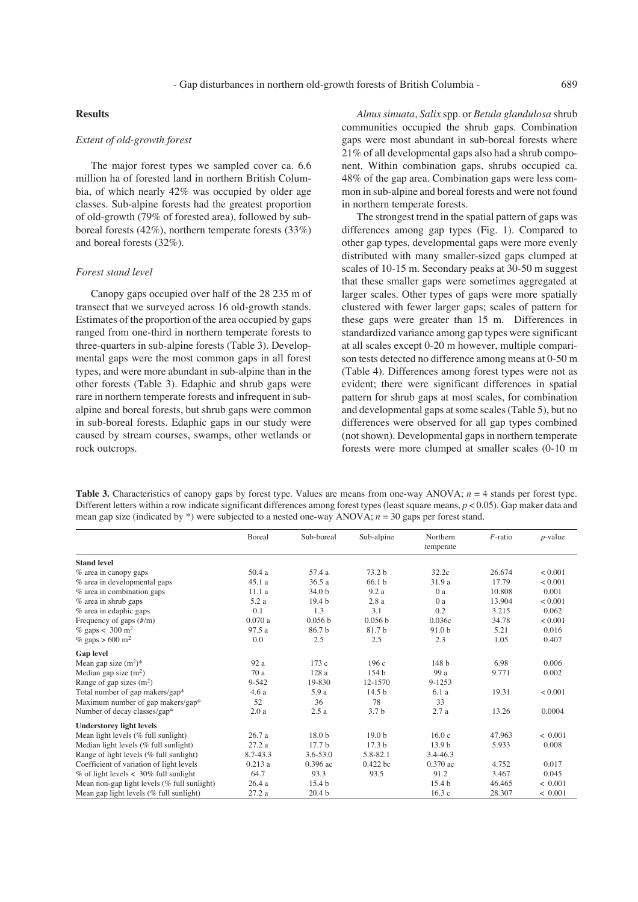### **Results**

#### *Extent of old-growth forest*

The major forest types we sampled cover ca. 6.6 million ha of forested land in northern British Columbia, of which nearly 42% was occupied by older age classes. Sub-alpine forests had the greatest proportion of old-growth (79% of forested area), followed by subboreal forests (42%), northern temperate forests (33%) and boreal forests (32%).

#### *Forest stand level*

Canopy gaps occupied over half of the 28 235 m of transect that we surveyed across 16 old-growth stands. Estimates of the proportion of the area occupied by gaps ranged from one-third in northern temperate forests to three-quarters in sub-alpine forests (Table 3). Developmental gaps were the most common gaps in all forest types, and were more abundant in sub-alpine than in the other forests (Table 3). Edaphic and shrub gaps were rare in northern temperate forests and infrequent in subalpine and boreal forests, but shrub gaps were common in sub-boreal forests. Edaphic gaps in our study were caused by stream courses, swamps, other wetlands or rock outcrops.

*Alnussinuata*, *Salix* spp. or *Betula glandulosa* shrub communities occupied the shrub gaps. Combination gaps were most abundant in sub-boreal forests where 21% of all developmental gaps also had a shrub component. Within combination gaps, shrubs occupied ca. 48% of the gap area. Combination gaps were less common in sub-alpine and boreal forests and were not found in northern temperate forests.

The strongest trend in the spatial pattern of gaps was differences among gap types (Fig. 1). Compared to other gap types, developmental gaps were more evenly distributed with many smaller-sized gaps clumped at scales of 10-15 m. Secondary peaks at 30-50 m suggest that these smaller gaps were sometimes aggregated at larger scales. Other types of gaps were more spatially clustered with fewer larger gaps; scales of pattern for these gaps were greater than 15 m. Differences in standardized variance among gap types were significant at all scales except 0-20 m however, multiple comparison tests detected no difference among means at 0-50 m (Table 4). Differences among forest types were not as evident; there were significant differences in spatial pattern for shrub gaps at most scales, for combination and developmental gaps at some scales (Table 5), but no differences were observed for all gap types combined (not shown). Developmental gaps in northern temperate forests were more clumped at smaller scales (0-10 m

**Table 3.** Characteristics of canopy gaps by forest type. Values are means from one-way ANOVA; *n* = 4 stands per forest type. Different letters within a row indicate significant differences among forest types (least square means,  $p < 0.05$ ). Gap maker data and mean gap size (indicated by \*) were subjected to a nested one-way ANOVA; *n* = 30 gaps per forest stand.

|                                                | Boreal   | Sub-boreal         | Sub-alpine         | Northern<br>temperate | $F$ -ratio | $p$ -value  |
|------------------------------------------------|----------|--------------------|--------------------|-----------------------|------------|-------------|
| <b>Stand level</b>                             |          |                    |                    |                       |            |             |
| % area in canopy gaps                          | 50.4a    | 57.4 a             | 73.2 <sub>b</sub>  | 32.2c                 | 26.674     | < 0.001     |
| % area in developmental gaps                   | 45.1a    | 36.5a              | 66.1 <sub>b</sub>  | 31.9a                 | 17.79      | < 0.001     |
| $%$ area in combination gaps                   | 11.1a    | 34.0 b             | 9.2a               | 0a                    | 10.808     | 0.001       |
| $%$ area in shrub gaps                         | 5.2 a    | 19.4 <sub>b</sub>  | 2.8a               | 0a                    | 13.904     | < 0.001     |
| % area in edaphic gaps                         | 0.1      | 1.3                | 3.1                | 0.2                   | 3.215      | 0.062       |
| Frequency of gaps $(\frac{\#}{m})$             | 0.070a   | 0.056 <sub>b</sub> | 0.056 <sub>b</sub> | 0.036c                | 34.78      | < 0.001     |
| % gaps < 300 m <sup>2</sup>                    | 97.5a    | 86.7b              | 81.7b              | 91.0 <sub>b</sub>     | 5.21       | 0.016       |
| $\%$ gaps > 600 m <sup>2</sup>                 | 0.0      | 2.5                | 2.5                | 2.3                   | 1.05       | 0.407       |
| <b>Gap level</b>                               |          |                    |                    |                       |            |             |
| Mean gap size $(m^2)^*$                        | 92 a     | 173c               | 196c               | 148 <sub>b</sub>      | 6.98       | 0.006       |
| Median gap size $(m2)$                         | 70 a     | 128 a              | 154 <sub>b</sub>   | 99 a                  | 9.771      | 0.002       |
| Range of gap sizes $(m2)$                      | 9-542    | 19-830             | 12-1570            | 9-1253                |            |             |
| Total number of gap makers/gap*                | 4.6a     | 5.9 a              | 14.5 <sub>b</sub>  | 6.1a                  | 19.31      | < 0.001     |
| Maximum number of gap makers/gap*              | 52       | 36                 | 78                 | 33                    |            |             |
| Number of decay classes/gap*                   | 2.0a     | 2.5a               | 3.7 <sub>b</sub>   | 2.7a                  | 13.26      | 0.0004      |
| <b>Understorey light levels</b>                |          |                    |                    |                       |            |             |
| Mean light levels (% full sunlight)            | 26.7a    | 18.0 <sub>b</sub>  | 19.0 <sub>b</sub>  | 16.0c                 | 47.963     | ${}< 0.001$ |
| Median light levels $(\%$ full sunlight)       | 27.2a    | 17.7 <sub>b</sub>  | 17.3 <sub>b</sub>  | 13.9 b                | 5.933      | 0.008       |
| Range of light levels (% full sunlight)        | 8.7-43.3 | $3.6 - 53.0$       | 5.8-82.1           | 3.4-46.3              |            |             |
| Coefficient of variation of light levels       | 0.213a   | $0.396$ ac         | 0.422 bc           | $0.370$ ac            | 4.752      | 0.017       |
| $%$ of light levels < 30% full sunlight        | 64.7     | 93.3               | 93.5               | 91.2                  | 3.467      | 0.045       |
| Mean non-gap light levels ( $%$ full sunlight) | 26.4a    | 15.4 <sub>b</sub>  |                    | 15.4 <sub>b</sub>     | 46.465     | ${}< 0.001$ |
| Mean gap light levels (% full sunlight)        | 27.2a    | 20.4 <sub>b</sub>  |                    | 16.3c                 | 28.307     | ${}< 0.001$ |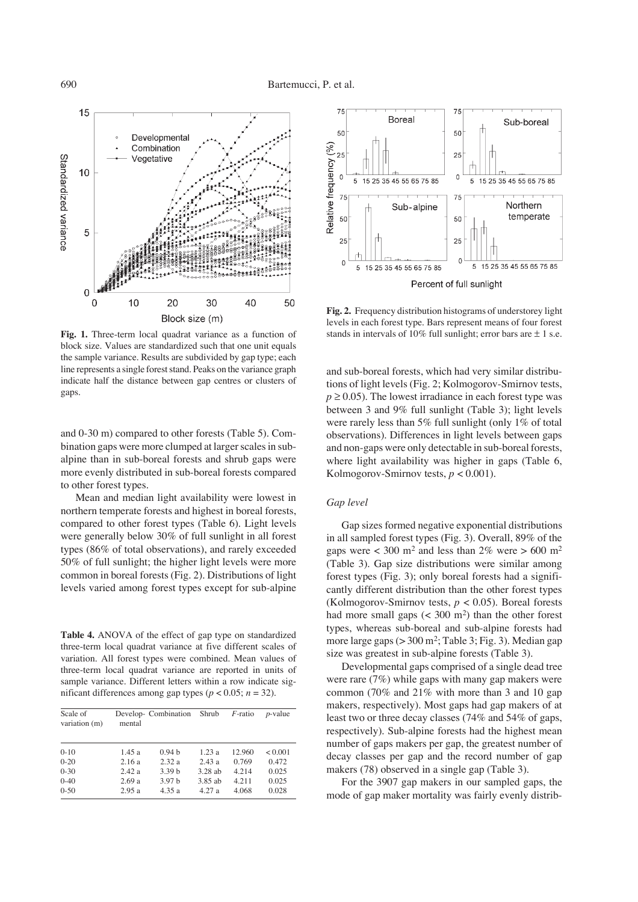

**Fig. 1.** Three-term local quadrat variance as a function of block size. Values are standardized such that one unit equals the sample variance. Results are subdivided by gap type; each line represents a single forest stand. Peaks on the variance graph indicate half the distance between gap centres or clusters of gaps.

and 0-30 m) compared to other forests (Table 5). Combination gaps were more clumped at larger scales in subalpine than in sub-boreal forests and shrub gaps were more evenly distributed in sub-boreal forests compared to other forest types.

Mean and median light availability were lowest in northern temperate forests and highest in boreal forests, compared to other forest types (Table 6). Light levels were generally below 30% of full sunlight in all forest types (86% of total observations), and rarely exceeded 50% of full sunlight; the higher light levels were more common in boreal forests (Fig. 2). Distributions of light levels varied among forest types except for sub-alpine

**Table 4.** ANOVA of the effect of gap type on standardized three-term local quadrat variance at five different scales of variation. All forest types were combined. Mean values of three-term local quadrat variance are reported in units of sample variance. Different letters within a row indicate significant differences among gap types ( $p < 0.05$ ;  $n = 32$ ).

| Scale of<br>variation (m) | mental | Develop- Combination Shrub |           | $F$ -ratio | $p$ -value |
|---------------------------|--------|----------------------------|-----------|------------|------------|
| $0-10$                    | 1.45a  | 0.94 <sub>b</sub>          | 1.23a     | 12.960     | < 0.001    |
| $0 - 20$                  | 2.16a  | 2.32a                      | 2.43a     | 0.769      | 0.472      |
| $0 - 30$                  | 2.42a  | 3.39 <sub>b</sub>          | $3.28$ ab | 4.214      | 0.025      |
| $0-40$                    | 2.69a  | 3.97 <sub>b</sub>          | $3.85$ ab | 4.211      | 0.025      |
| $0 - 50$                  | 2.95a  | 4.35a                      | 4.27a     | 4.068      | 0.028      |



**Fig. 2.** Frequency distribution histograms of understorey light levels in each forest type. Bars represent means of four forest stands in intervals of 10% full sunlight; error bars are  $\pm$  1 s.e.

and sub-boreal forests, which had very similar distributions of light levels (Fig. 2; Kolmogorov-Smirnov tests,  $p \ge 0.05$ ). The lowest irradiance in each forest type was between 3 and 9% full sunlight (Table 3); light levels were rarely less than 5% full sunlight (only 1% of total observations). Differences in light levels between gaps and non-gaps were only detectable in sub-boreal forests, where light availability was higher in gaps (Table 6, Kolmogorov-Smirnov tests, *p* < 0.001).

# *Gap level*

Gap sizes formed negative exponential distributions in all sampled forest types (Fig. 3). Overall, 89% of the gaps were  $<$  300 m<sup>2</sup> and less than 2% were  $>$  600 m<sup>2</sup> (Table 3). Gap size distributions were similar among forest types (Fig. 3); only boreal forests had a significantly different distribution than the other forest types (Kolmogorov-Smirnov tests, *p* < 0.05). Boreal forests had more small gaps  $(< 300 \text{ m}^2)$  than the other forest types, whereas sub-boreal and sub-alpine forests had more large gaps  $(>300 \text{ m}^2; \text{Table 3}; \text{Fig. 3}).$  Median gap size was greatest in sub-alpine forests (Table 3).

Developmental gaps comprised of a single dead tree were rare (7%) while gaps with many gap makers were common (70% and 21% with more than 3 and 10 gap makers, respectively). Most gaps had gap makers of at least two or three decay classes (74% and 54% of gaps, respectively). Sub-alpine forests had the highest mean number of gaps makers per gap, the greatest number of decay classes per gap and the record number of gap makers (78) observed in a single gap (Table 3).

For the 3907 gap makers in our sampled gaps, the mode of gap maker mortality was fairly evenly distrib-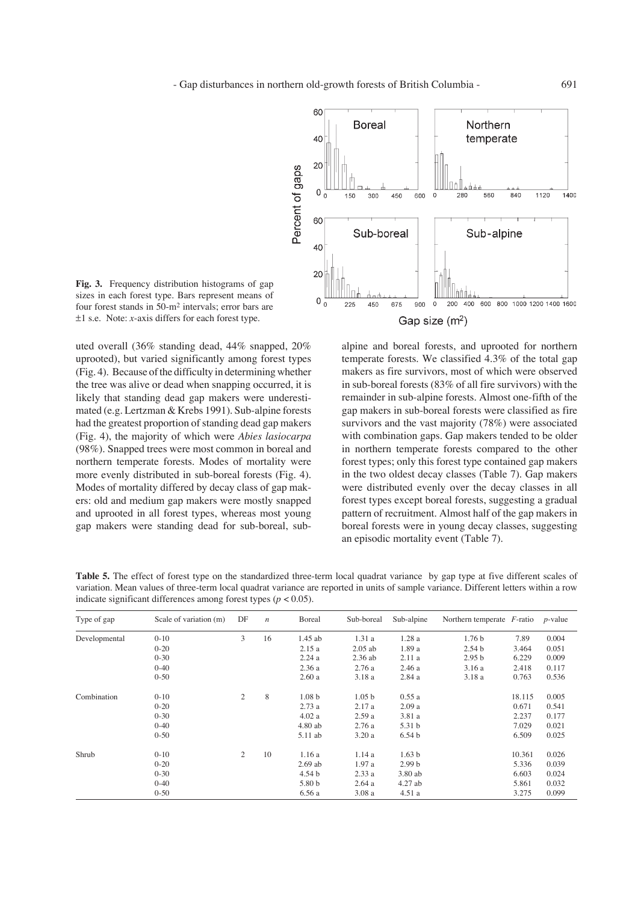

**Fig. 3.** Frequency distribution histograms of gap sizes in each forest type. Bars represent means of four forest stands in 50-m2 intervals; error bars are ±1 s.e. Note: *x*-axis differs for each forest type.

uted overall (36% standing dead, 44% snapped, 20% uprooted), but varied significantly among forest types (Fig. 4). Because of the difficulty in determining whether the tree was alive or dead when snapping occurred, it is likely that standing dead gap makers were underestimated (e.g. Lertzman & Krebs 1991). Sub-alpine forests had the greatest proportion of standing dead gap makers (Fig. 4), the majority of which were *Abies lasiocarpa* (98%). Snapped trees were most common in boreal and northern temperate forests. Modes of mortality were more evenly distributed in sub-boreal forests (Fig. 4). Modes of mortality differed by decay class of gap makers: old and medium gap makers were mostly snapped and uprooted in all forest types, whereas most young gap makers were standing dead for sub-boreal, sub-

alpine and boreal forests, and uprooted for northern temperate forests. We classified 4.3% of the total gap makers as fire survivors, most of which were observed in sub-boreal forests (83% of all fire survivors) with the remainder in sub-alpine forests. Almost one-fifth of the gap makers in sub-boreal forests were classified as fire survivors and the vast majority (78%) were associated with combination gaps. Gap makers tended to be older in northern temperate forests compared to the other forest types; only this forest type contained gap makers in the two oldest decay classes (Table 7). Gap makers were distributed evenly over the decay classes in all forest types except boreal forests, suggesting a gradual pattern of recruitment. Almost half of the gap makers in boreal forests were in young decay classes, suggesting an episodic mortality event (Table 7).

| Type of gap   | Scale of variation (m) | DF | $\boldsymbol{n}$ | Boreal            | Sub-boreal        | Sub-alpine        | Northern temperate $F$ -ratio |        | $p$ -value |
|---------------|------------------------|----|------------------|-------------------|-------------------|-------------------|-------------------------------|--------|------------|
| Developmental | $0 - 10$               | 3  | 16               | $1.45$ ab         | 1.31a             | 1.28a             | 1.76 <sub>b</sub>             | 7.89   | 0.004      |
|               | $0 - 20$               |    |                  | 2.15a             | $2.05$ ab         | 1.89 a            | 2.54 <sub>b</sub>             | 3.464  | 0.051      |
|               | $0 - 30$               |    |                  | 2.24a             | $2.36$ ab         | 2.11a             | 2.95 <sub>b</sub>             | 6.229  | 0.009      |
|               | $0 - 40$               |    |                  | 2.36a             | 2.76a             | 2.46a             | 3.16a                         | 2.418  | 0.117      |
|               | $0 - 50$               |    |                  | 2.60a             | 3.18 a            | 2.84a             | 3.18a                         | 0.763  | 0.536      |
| Combination   | $0 - 10$               | 2  | 8                | 1.08 <sub>b</sub> | 1.05 <sub>b</sub> | 0.55a             |                               | 18.115 | 0.005      |
|               | $0 - 20$               |    |                  | 2.73a             | 2.17a             | 2.09a             |                               | 0.671  | 0.541      |
|               | $0 - 30$               |    |                  | 4.02a             | 2.59a             | 3.81a             |                               | 2.237  | 0.177      |
|               | $0 - 40$               |    |                  | 4.80ab            | 2.76a             | 5.31 b            |                               | 7.029  | 0.021      |
|               | $0 - 50$               |    |                  | 5.11 ab           | 3.20a             | 6.54 <sub>b</sub> |                               | 6.509  | 0.025      |
| Shrub         | $0 - 10$               | 2  | 10               | 1.16a             | 1.14a             | 1.63 <sub>b</sub> |                               | 10.361 | 0.026      |
|               | $0 - 20$               |    |                  | $2.69$ ab         | 1.97a             | 2.99 <sub>b</sub> |                               | 5.336  | 0.039      |
|               | $0 - 30$               |    |                  | 4.54 <sub>b</sub> | 2.33a             | $3.80$ ab         |                               | 6.603  | 0.024      |
|               | $0 - 40$               |    |                  | 5.80 <sub>b</sub> | 2.64a             | $4.27$ ab         |                               | 5.861  | 0.032      |
|               | $0 - 50$               |    |                  | 6.56a             | 3.08a             | 4.51a             |                               | 3.275  | 0.099      |

**Table 5.** The effect of forest type on the standardized three-term local quadrat variance by gap type at five different scales of variation. Mean values of three-term local quadrat variance are reported in units of sample variance. Different letters within a row indicate significant differences among forest types  $(p < 0.05)$ .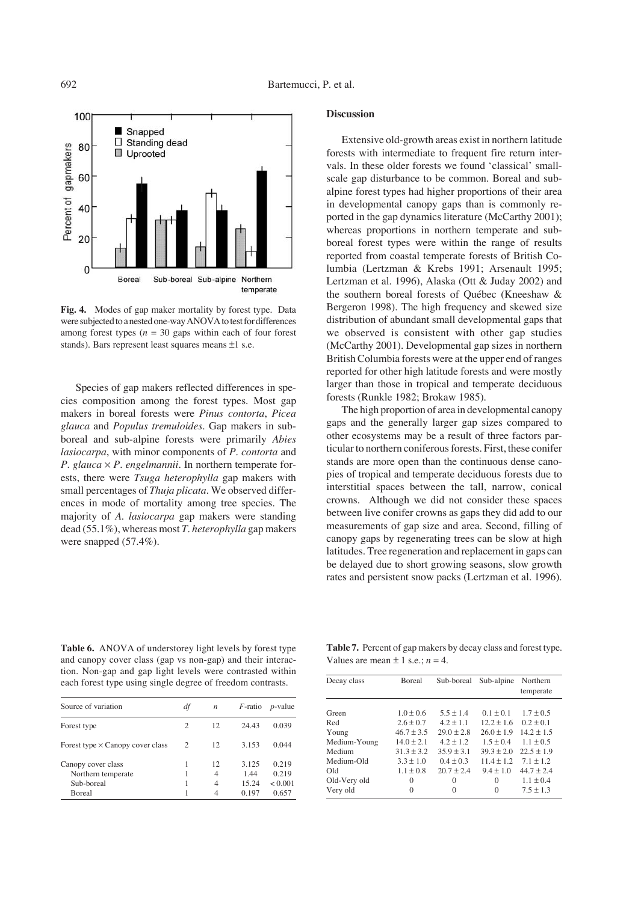

**Fig. 4.** Modes of gap maker mortality by forest type. Data were subjected to a nested one-way ANOVA to test for differences among forest types ( $n = 30$  gaps within each of four forest stands). Bars represent least squares means ±1 s.e.

Species of gap makers reflected differences in species composition among the forest types. Most gap makers in boreal forests were *Pinus contorta*, *Picea glauca* and *Populus tremuloides*. Gap makers in subboreal and sub-alpine forests were primarily *Abies lasiocarpa*, with minor components of *P. contorta* and *P. glauca*  $\times$  *P. engelmannii*. In northern temperate forests, there were *Tsuga heterophylla* gap makers with small percentages of *Thuja plicata*. We observed differences in mode of mortality among tree species. The majority of *A. lasiocarpa* gap makers were standing dead (55.1%), whereas most *T. heterophylla* gap makers were snapped (57.4%).

#### **Discussion**

Extensive old-growth areas exist in northern latitude forests with intermediate to frequent fire return intervals. In these older forests we found 'classical' smallscale gap disturbance to be common. Boreal and subalpine forest types had higher proportions of their area in developmental canopy gaps than is commonly reported in the gap dynamics literature (McCarthy 2001); whereas proportions in northern temperate and subboreal forest types were within the range of results reported from coastal temperate forests of British Columbia (Lertzman & Krebs 1991; Arsenault 1995; Lertzman et al. 1996), Alaska (Ott & Juday 2002) and the southern boreal forests of Québec (Kneeshaw & Bergeron 1998). The high frequency and skewed size distribution of abundant small developmental gaps that we observed is consistent with other gap studies (McCarthy 2001). Developmental gap sizes in northern British Columbia forests were at the upper end of ranges reported for other high latitude forests and were mostly larger than those in tropical and temperate deciduous forests (Runkle 1982; Brokaw 1985).

The high proportion of area in developmental canopy gaps and the generally larger gap sizes compared to other ecosystems may be a result of three factors particular to northern coniferous forests. First, these conifer stands are more open than the continuous dense canopies of tropical and temperate deciduous forests due to interstitial spaces between the tall, narrow, conical crowns. Although we did not consider these spaces between live conifer crowns as gaps they did add to our measurements of gap size and area. Second, filling of canopy gaps by regenerating trees can be slow at high latitudes. Tree regeneration and replacement in gaps can be delayed due to short growing seasons, slow growth rates and persistent snow packs (Lertzman et al. 1996).

**Table 6.** ANOVA of understorey light levels by forest type and canopy cover class (gap vs non-gap) and their interaction. Non-gap and gap light levels were contrasted within each forest type using single degree of freedom contrasts.

| df            | $\boldsymbol{n}$ | <i>F</i> -ratio | $p$ -value |
|---------------|------------------|-----------------|------------|
| $\mathcal{L}$ | 12.              | 24.43           | 0.039      |
| 2             | 12               | 3.153           | 0.044      |
|               | 12               | 3.125           | 0.219      |
|               | 4                | 1.44            | 0.219      |
|               | 4                | 15.24           | < 0.001    |
|               |                  | 0.197           | 0.657      |
|               |                  |                 |            |

**Table 7.** Percent of gap makers by decay class and forest type. Values are mean  $\pm$  1 s.e.; *n* = 4.

| Decay class  | <b>Boreal</b>  | Sub-boreal     | Sub-alpine     | Northern       |
|--------------|----------------|----------------|----------------|----------------|
|              |                |                |                | temperate      |
|              |                |                |                |                |
| Green        | $1.0 \pm 0.6$  | $5.5 \pm 1.4$  | $0.1 \pm 0.1$  | $1.7 \pm 0.5$  |
| Red          | $2.6 \pm 0.7$  | $4.2 \pm 1.1$  | $12.2 \pm 1.6$ | $0.2 \pm 0.1$  |
| Young        | $46.7 \pm 3.5$ | $29.0 \pm 2.8$ | $26.0 \pm 1.9$ | $14.2 \pm 1.5$ |
| Medium-Young | $14.0 \pm 2.1$ | $4.2 \pm 1.2$  | $1.5 \pm 0.4$  | $1.1 \pm 0.5$  |
| Medium       | $31.3 \pm 3.2$ | $35.9 \pm 3.1$ | $39.3 \pm 2.0$ | $22.5 \pm 1.9$ |
| Medium-Old   | $3.3 \pm 1.0$  | $0.4 \pm 0.3$  | $11.4 \pm 1.2$ | $7.1 \pm 1.2$  |
| Old          | $1.1 \pm 0.8$  | $20.7 + 2.4$   | $9.4 + 1.0$    | $44.7 \pm 2.4$ |
| Old-Very old | $\Omega$       | 0              | $\Omega$       | $1.1 \pm 0.4$  |
| Very old     | $\Omega$       | $\Omega$       | $\Omega$       | $7.5 \pm 1.3$  |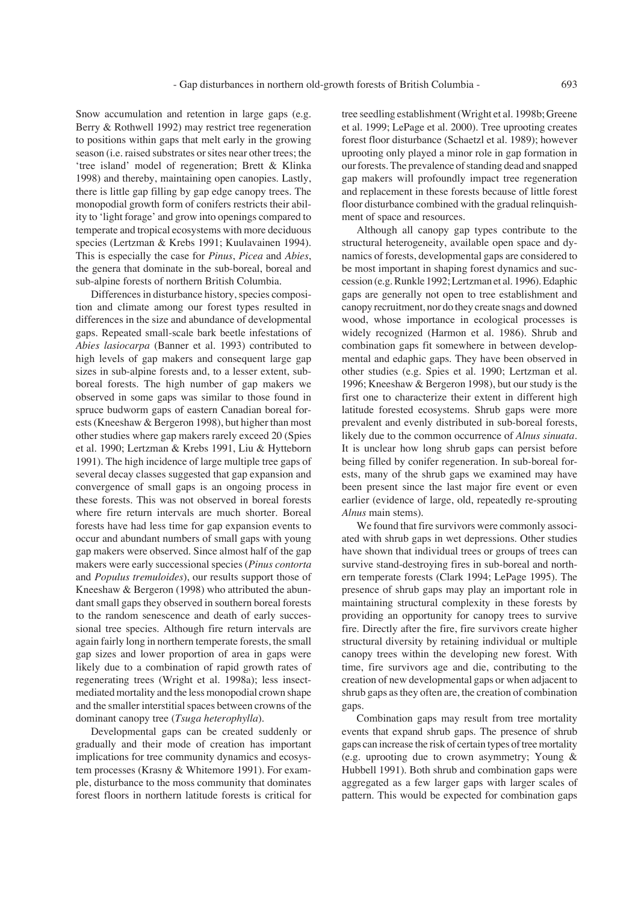Snow accumulation and retention in large gaps (e.g. Berry & Rothwell 1992) may restrict tree regeneration to positions within gaps that melt early in the growing season (i.e. raised substrates or sites near other trees; the 'tree island' model of regeneration; Brett & Klinka 1998) and thereby, maintaining open canopies. Lastly, there is little gap filling by gap edge canopy trees. The monopodial growth form of conifers restricts their ability to 'light forage' and grow into openings compared to temperate and tropical ecosystems with more deciduous species (Lertzman & Krebs 1991; Kuulavainen 1994). This is especially the case for *Pinus*, *Picea* and *Abies*, the genera that dominate in the sub-boreal, boreal and sub-alpine forests of northern British Columbia.

Differences in disturbance history, species composition and climate among our forest types resulted in differences in the size and abundance of developmental gaps. Repeated small-scale bark beetle infestations of *Abies lasiocarpa* (Banner et al. 1993) contributed to high levels of gap makers and consequent large gap sizes in sub-alpine forests and, to a lesser extent, subboreal forests. The high number of gap makers we observed in some gaps was similar to those found in spruce budworm gaps of eastern Canadian boreal forests (Kneeshaw & Bergeron 1998), but higher than most other studies where gap makers rarely exceed 20 (Spies et al. 1990; Lertzman & Krebs 1991, Liu & Hytteborn 1991). The high incidence of large multiple tree gaps of several decay classes suggested that gap expansion and convergence of small gaps is an ongoing process in these forests. This was not observed in boreal forests where fire return intervals are much shorter. Boreal forests have had less time for gap expansion events to occur and abundant numbers of small gaps with young gap makers were observed. Since almost half of the gap makers were early successional species (*Pinus contorta* and *Populus tremuloides*), our results support those of Kneeshaw & Bergeron (1998) who attributed the abundant small gaps they observed in southern boreal forests to the random senescence and death of early successional tree species. Although fire return intervals are again fairly long in northern temperate forests, the small gap sizes and lower proportion of area in gaps were likely due to a combination of rapid growth rates of regenerating trees (Wright et al. 1998a); less insectmediated mortality and the less monopodial crown shape and the smaller interstitial spaces between crowns of the dominant canopy tree (*Tsuga heterophylla*).

Developmental gaps can be created suddenly or gradually and their mode of creation has important implications for tree community dynamics and ecosystem processes (Krasny & Whitemore 1991). For example, disturbance to the moss community that dominates forest floors in northern latitude forests is critical for

tree seedling establishment (Wright et al. 1998b; Greene et al. 1999; LePage et al. 2000). Tree uprooting creates forest floor disturbance (Schaetzl et al. 1989); however uprooting only played a minor role in gap formation in our forests. The prevalence of standing dead and snapped gap makers will profoundly impact tree regeneration and replacement in these forests because of little forest floor disturbance combined with the gradual relinquishment of space and resources.

Although all canopy gap types contribute to the structural heterogeneity, available open space and dynamics of forests, developmental gaps are considered to be most important in shaping forest dynamics and succession (e.g. Runkle 1992; Lertzman et al. 1996). Edaphic gaps are generally not open to tree establishment and canopy recruitment, nor do they create snags and downed wood, whose importance in ecological processes is widely recognized (Harmon et al. 1986). Shrub and combination gaps fit somewhere in between developmental and edaphic gaps. They have been observed in other studies (e.g. Spies et al. 1990; Lertzman et al. 1996; Kneeshaw & Bergeron 1998), but our study is the first one to characterize their extent in different high latitude forested ecosystems. Shrub gaps were more prevalent and evenly distributed in sub-boreal forests, likely due to the common occurrence of *Alnus sinuata*. It is unclear how long shrub gaps can persist before being filled by conifer regeneration. In sub-boreal forests, many of the shrub gaps we examined may have been present since the last major fire event or even earlier (evidence of large, old, repeatedly re-sprouting *Alnus* main stems).

We found that fire survivors were commonly associated with shrub gaps in wet depressions. Other studies have shown that individual trees or groups of trees can survive stand-destroying fires in sub-boreal and northern temperate forests (Clark 1994; LePage 1995). The presence of shrub gaps may play an important role in maintaining structural complexity in these forests by providing an opportunity for canopy trees to survive fire. Directly after the fire, fire survivors create higher structural diversity by retaining individual or multiple canopy trees within the developing new forest. With time, fire survivors age and die, contributing to the creation of new developmental gaps or when adjacent to shrub gaps as they often are, the creation of combination gaps.

Combination gaps may result from tree mortality events that expand shrub gaps. The presence of shrub gaps can increase the risk of certain types of tree mortality (e.g. uprooting due to crown asymmetry; Young & Hubbell 1991). Both shrub and combination gaps were aggregated as a few larger gaps with larger scales of pattern. This would be expected for combination gaps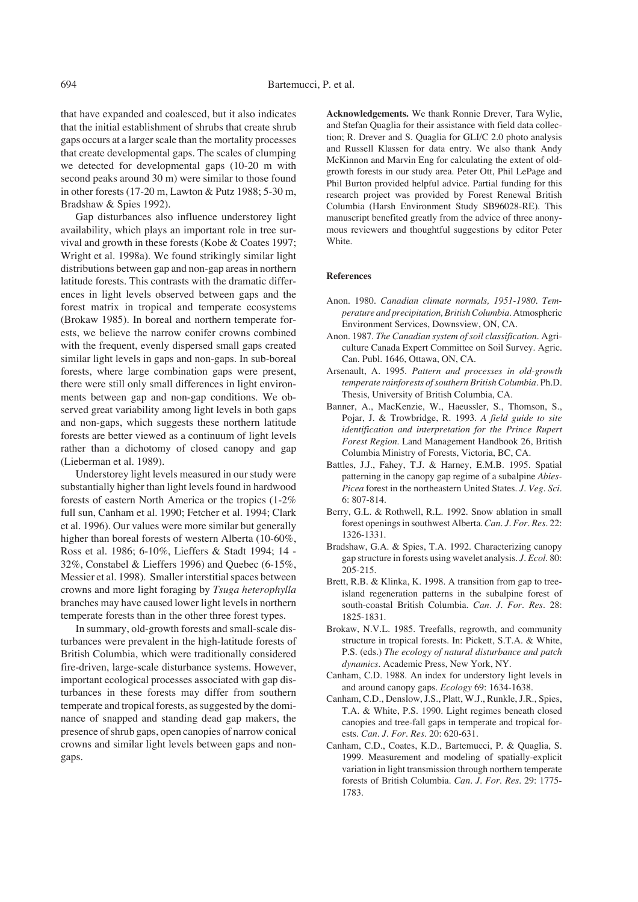that have expanded and coalesced, but it also indicates that the initial establishment of shrubs that create shrub gaps occurs at a larger scale than the mortality processes that create developmental gaps. The scales of clumping we detected for developmental gaps (10-20 m with second peaks around 30 m) were similar to those found in other forests (17-20 m, Lawton & Putz 1988; 5-30 m, Bradshaw & Spies 1992).

Gap disturbances also influence understorey light availability, which plays an important role in tree survival and growth in these forests (Kobe & Coates 1997; Wright et al. 1998a). We found strikingly similar light distributions between gap and non-gap areas in northern latitude forests. This contrasts with the dramatic differences in light levels observed between gaps and the forest matrix in tropical and temperate ecosystems (Brokaw 1985). In boreal and northern temperate forests, we believe the narrow conifer crowns combined with the frequent, evenly dispersed small gaps created similar light levels in gaps and non-gaps. In sub-boreal forests, where large combination gaps were present, there were still only small differences in light environments between gap and non-gap conditions. We observed great variability among light levels in both gaps and non-gaps, which suggests these northern latitude forests are better viewed as a continuum of light levels rather than a dichotomy of closed canopy and gap (Lieberman et al. 1989).

Understorey light levels measured in our study were substantially higher than light levels found in hardwood forests of eastern North America or the tropics (1-2% full sun, Canham et al. 1990; Fetcher et al. 1994; Clark et al. 1996). Our values were more similar but generally higher than boreal forests of western Alberta (10-60%, Ross et al. 1986; 6-10%, Lieffers & Stadt 1994; 14 - 32%, Constabel & Lieffers 1996) and Quebec (6-15%, Messier et al. 1998). Smaller interstitial spaces between crowns and more light foraging by *Tsuga heterophylla* branches may have caused lower light levels in northern temperate forests than in the other three forest types.

In summary, old-growth forests and small-scale disturbances were prevalent in the high-latitude forests of British Columbia, which were traditionally considered fire-driven, large-scale disturbance systems. However, important ecological processes associated with gap disturbances in these forests may differ from southern temperate and tropical forests, as suggested by the dominance of snapped and standing dead gap makers, the presence of shrub gaps, open canopies of narrow conical crowns and similar light levels between gaps and nongaps.

**Acknowledgements.** We thank Ronnie Drever, Tara Wylie, and Stefan Quaglia for their assistance with field data collection; R. Drever and S. Quaglia for GLI/C 2.0 photo analysis and Russell Klassen for data entry. We also thank Andy McKinnon and Marvin Eng for calculating the extent of oldgrowth forests in our study area. Peter Ott, Phil LePage and Phil Burton provided helpful advice. Partial funding for this research project was provided by Forest Renewal British Columbia (Harsh Environment Study SB96028-RE). This manuscript benefited greatly from the advice of three anonymous reviewers and thoughtful suggestions by editor Peter White.

#### **References**

- Anon. 1980. *Canadian climate normals, 1951-1980. Temperature and precipitation, British Columbia.*Atmospheric Environment Services, Downsview, ON, CA.
- Anon. 1987. *The Canadian system of soil classification.* Agriculture Canada Expert Committee on Soil Survey. Agric. Can. Publ. 1646, Ottawa, ON, CA.
- Arsenault, A. 1995. *Pattern and processes in old-growth temperate rainforests of southern British Columbia.* Ph.D. Thesis, University of British Columbia, CA.
- Banner, A., MacKenzie, W., Haeussler, S., Thomson, S., Pojar, J. & Trowbridge, R. 1993. *A field guide to site identification and interpretation for the Prince Rupert Forest Region*. Land Management Handbook 26, British Columbia Ministry of Forests, Victoria, BC, CA.
- Battles, J.J., Fahey, T.J. & Harney, E.M.B. 1995. Spatial patterning in the canopy gap regime of a subalpine *Abies-Picea* forest in the northeastern United States. *J. Veg. Sci.* 6: 807-814.
- Berry, G.L. & Rothwell, R.L. 1992. Snow ablation in small forest openings in southwest Alberta. *Can. J. For. Res.* 22: 1326-1331.
- Bradshaw, G.A. & Spies, T.A. 1992. Characterizing canopy gap structure in forests using wavelet analysis. *J. Ecol*. 80: 205-215.
- Brett, R.B. & Klinka, K. 1998. A transition from gap to treeisland regeneration patterns in the subalpine forest of south-coastal British Columbia. *Can. J. For. Res*. 28: 1825-1831.
- Brokaw, N.V.L. 1985. Treefalls, regrowth, and community structure in tropical forests. In: Pickett, S.T.A. & White, P.S. (eds.) *The ecology of natural disturbance and patch dynamics.* Academic Press, New York, NY.
- Canham, C.D. 1988. An index for understory light levels in and around canopy gaps. *Ecology* 69: 1634-1638.
- Canham, C.D., Denslow, J.S., Platt, W.J., Runkle, J.R., Spies, T.A. & White, P.S. 1990. Light regimes beneath closed canopies and tree-fall gaps in temperate and tropical forests. *Can. J. For. Res.* 20: 620-631.
- Canham, C.D., Coates, K.D., Bartemucci, P. & Quaglia, S. 1999. Measurement and modeling of spatially-explicit variation in light transmission through northern temperate forests of British Columbia. *Can. J. For. Res.* 29: 1775- 1783.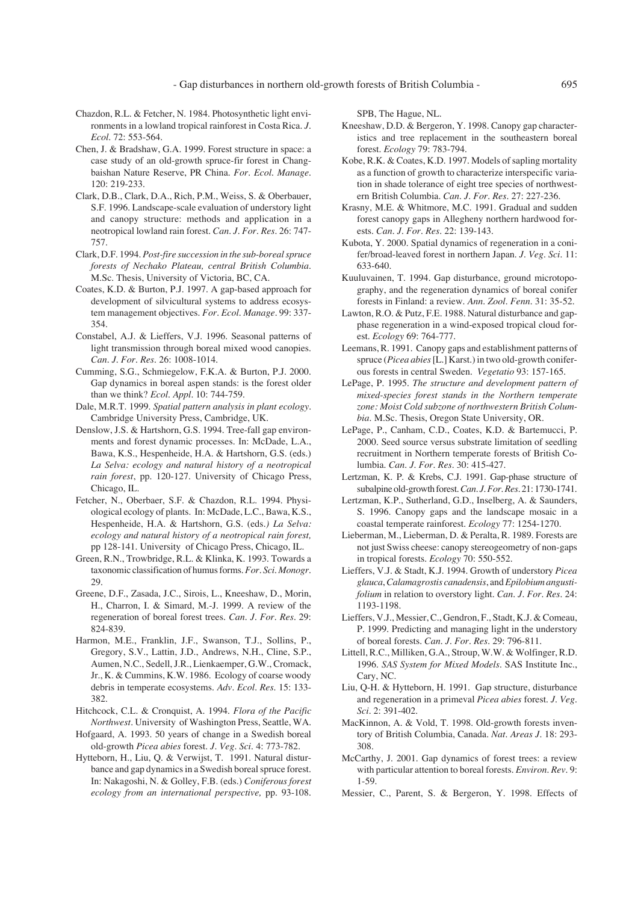- Chazdon, R.L. & Fetcher, N. 1984. Photosynthetic light environments in a lowland tropical rainforest in Costa Rica. *J. Ecol.* 72: 553-564.
- Chen, J. & Bradshaw, G.A. 1999. Forest structure in space: a case study of an old-growth spruce-fir forest in Changbaishan Nature Reserve, PR China. *For. Ecol. Manage*. 120: 219-233.
- Clark, D.B., Clark, D.A., Rich, P.M., Weiss, S. & Oberbauer, S.F. 1996. Landscape-scale evaluation of understory light and canopy structure: methods and application in a neotropical lowland rain forest. *Can. J. For. Res.* 26: 747- 757.
- Clark, D.F. 1994. *Post-fire succession in the sub-boreal spruce forests of Nechako Plateau, central British Columbia.* M.Sc. Thesis, University of Victoria, BC, CA.
- Coates, K.D. & Burton, P.J. 1997. A gap-based approach for development of silvicultural systems to address ecosystem management objectives. *For. Ecol. Manage.* 99: 337- 354.
- Constabel, A.J. & Lieffers, V.J. 1996. Seasonal patterns of light transmission through boreal mixed wood canopies. *Can. J. For. Res.* 26: 1008-1014.
- Cumming, S.G., Schmiegelow, F.K.A. & Burton, P.J. 2000. Gap dynamics in boreal aspen stands: is the forest older than we think? *Ecol. Appl.* 10: 744-759.
- Dale, M.R.T. 1999. *Spatial pattern analysis in plant ecology.* Cambridge University Press, Cambridge, UK.
- Denslow, J.S. & Hartshorn, G.S. 1994. Tree-fall gap environments and forest dynamic processes. In: McDade, L.A., Bawa, K.S., Hespenheide, H.A. & Hartshorn, G.S. (eds.) *La Selva: ecology and natural history of a neotropical rain forest*, pp. 120-127. University of Chicago Press, Chicago, IL.
- Fetcher, N., Oberbaer, S.F. & Chazdon, R.L. 1994. Physiological ecology of plants. In: McDade, L.C., Bawa, K.S., Hespenheide, H.A. & Hartshorn, G.S. (eds*.) La Selva: ecology and natural history of a neotropical rain forest,* pp 128-141. University of Chicago Press, Chicago, IL.
- Green, R.N., Trowbridge, R.L. & Klinka, K. 1993. Towards a taxonomic classification of humus forms. *For. Sci. Monogr*. 29.
- Greene, D.F., Zasada, J.C., Sirois, L., Kneeshaw, D., Morin, H., Charron, I. & Simard, M.-J. 1999. A review of the regeneration of boreal forest trees. *Can. J. For. Res.* 29: 824-839.
- Harmon, M.E., Franklin, J.F., Swanson, T.J., Sollins, P., Gregory, S.V., Lattin, J.D., Andrews, N.H., Cline, S.P., Aumen, N.C., Sedell, J.R., Lienkaemper, G.W., Cromack, Jr., K. & Cummins, K.W. 1986. Ecology of coarse woody debris in temperate ecosystems. *Adv. Ecol. Res*. 15: 133- 382.
- Hitchcock, C.L. & Cronquist, A. 1994. *Flora of the Pacific Northwest*. University of Washington Press, Seattle, WA.
- Hofgaard, A. 1993. 50 years of change in a Swedish boreal old-growth *Picea abies* forest. *J. Veg. Sci.* 4: 773-782.
- Hytteborn, H., Liu, Q. & Verwijst, T. 1991. Natural disturbance and gap dynamics in a Swedish boreal spruce forest. In: Nakagoshi, N. & Golley, F.B. (eds.) *Coniferous forest ecology from an international perspective,* pp. 93-108.

SPB, The Hague, NL.

- Kneeshaw, D.D. & Bergeron, Y. 1998. Canopy gap characteristics and tree replacement in the southeastern boreal forest. *Ecology* 79: 783-794.
- Kobe, R.K. & Coates, K.D. 1997. Models of sapling mortality as a function of growth to characterize interspecific variation in shade tolerance of eight tree species of northwestern British Columbia. *Can. J. For. Res*. 27: 227-236.
- Krasny, M.E. & Whitmore, M.C. 1991. Gradual and sudden forest canopy gaps in Allegheny northern hardwood forests. *Can. J. For. Res.* 22: 139-143.
- Kubota, Y. 2000. Spatial dynamics of regeneration in a conifer/broad-leaved forest in northern Japan. *J. Veg. Sci.* 11: 633-640.
- Kuuluvainen, T. 1994. Gap disturbance, ground microtopography, and the regeneration dynamics of boreal conifer forests in Finland: a review. *Ann. Zool. Fenn*. 31: 35-52.
- Lawton, R.O. & Putz, F.E. 1988. Natural disturbance and gapphase regeneration in a wind-exposed tropical cloud forest. *Ecology* 69: 764-777.
- Leemans, R. 1991. Canopy gaps and establishment patterns of spruce (*Picea abies*[L.] Karst.) in two old-growth coniferous forests in central Sweden. *Vegetatio* 93: 157-165.
- LePage, P. 1995. *The structure and development pattern of mixed-species forest stands in the Northern temperate zone: Moist Cold subzone of northwestern British Columbia.* M.Sc. Thesis, Oregon State University, OR.
- LePage, P., Canham, C.D., Coates, K.D. & Bartemucci, P. 2000. Seed source versus substrate limitation of seedling recruitment in Northern temperate forests of British Columbia. *Can. J. For. Res.* 30: 415-427.
- Lertzman, K. P. & Krebs, C.J. 1991. Gap-phase structure of subalpine old-growth forest. *Can. J. For. Res.*21: 1730-1741.
- Lertzman, K.P., Sutherland, G.D., Inselberg, A. & Saunders, S. 1996. Canopy gaps and the landscape mosaic in a coastal temperate rainforest. *Ecology* 77: 1254-1270.
- Lieberman, M., Lieberman, D. & Peralta, R. 1989. Forests are not just Swiss cheese: canopy stereogeometry of non-gaps in tropical forests. *Ecology* 70: 550-552.
- Lieffers, V.J. & Stadt, K.J. 1994. Growth of understory *Picea glauca*, *Calamagrostis canadensis*, and *Epilobiumangustifolium* in relation to overstory light. *Can. J. For. Res.* 24: 1193-1198.
- Lieffers, V.J., Messier, C., Gendron, F., Stadt, K.J. & Comeau, P. 1999. Predicting and managing light in the understory of boreal forests. *Can. J. For. Res*. 29: 796-811.
- Littell, R.C., Milliken, G.A., Stroup, W.W. & Wolfinger, R.D. 1996. *SAS System for Mixed Models*. SAS Institute Inc., Cary, NC.
- Liu, Q-H. & Hytteborn, H. 1991. Gap structure, disturbance and regeneration in a primeval *Picea abies* forest. *J. Veg. Sci.* 2: 391-402.
- MacKinnon, A. & Vold, T. 1998. Old-growth forests inventory of British Columbia, Canada. *Nat. Areas J*. 18: 293- 308.
- McCarthy, J. 2001. Gap dynamics of forest trees: a review with particular attention to boreal forests. *Environ. Rev.* 9: 1-59.
- Messier, C., Parent, S. & Bergeron, Y. 1998. Effects of